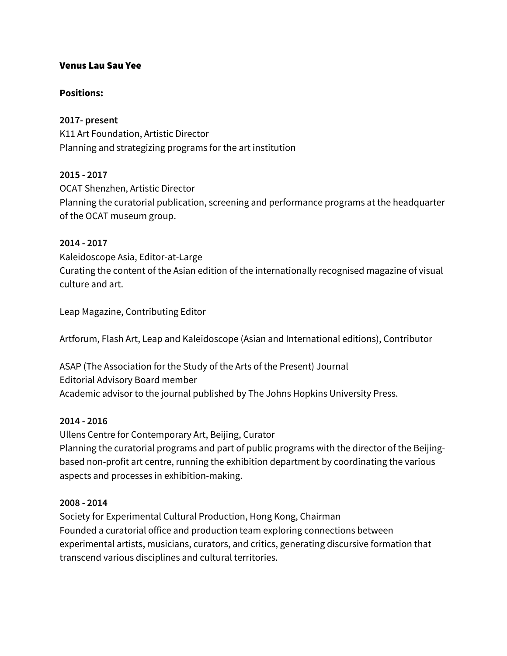#### Venus Lau Sau Yee

#### **Positions:**

#### **2017- present**

K11 Art Foundation, Artistic Director Planning and strategizing programs for the art institution

#### **2015 - 2017**

OCAT Shenzhen, Artistic Director Planning the curatorial publication, screening and performance programs at the headquarter of the OCAT museum group.

#### **2014 - 2017**

Kaleidoscope Asia, Editor-at-Large Curating the content of the Asian edition of the internationally recognised magazine of visual culture and art.

Leap Magazine, Contributing Editor

Artforum, Flash Art, Leap and Kaleidoscope (Asian and International editions), Contributor

ASAP (The Association for the Study of the Arts of the Present) Journal Editorial Advisory Board member Academic advisor to the journal published by The Johns Hopkins University Press.

#### **2014 - 2016**

Ullens Centre for Contemporary Art, Beijing, Curator Planning the curatorial programs and part of public programs with the director of the Beijingbased non-profit art centre, running the exhibition department by coordinating the various aspects and processes in exhibition-making.

#### **2008 - 2014**

Society for Experimental Cultural Production, Hong Kong, Chairman Founded a curatorial office and production team exploring connections between experimental artists, musicians, curators, and critics, generating discursive formation that transcend various disciplines and cultural territories.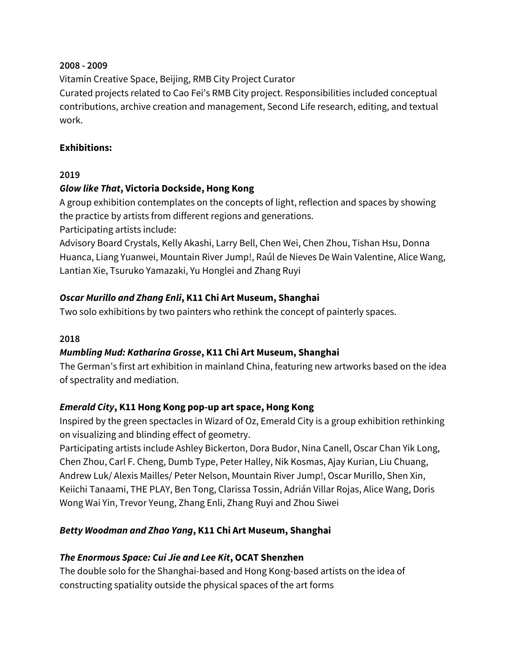#### **2008 - 2009**

Vitamin Creative Space, Beijing, RMB City Project Curator Curated projects related to Cao Fei's RMB City project. Responsibilities included conceptual contributions, archive creation and management, Second Life research, editing, and textual work.

# **Exhibitions:**

# **2019**

# *Glow like That***, Victoria Dockside, Hong Kong**

A group exhibition contemplates on the concepts of light, reflection and spaces by showing the practice by artists from different regions and generations.

Participating artists include:

Advisory Board Crystals, Kelly Akashi, Larry Bell, Chen Wei, Chen Zhou, Tishan Hsu, Donna Huanca, Liang Yuanwei, Mountain River Jump!, Raúl de Nieves De Wain Valentine, Alice Wang, Lantian Xie, Tsuruko Yamazaki, Yu Honglei and Zhang Ruyi

# *Oscar Murillo and Zhang Enli***, K11 Chi Art Museum, Shanghai**

Two solo exhibitions by two painters who rethink the concept of painterly spaces.

### **2018**

# *Mumbling Mud: Katharina Grosse***, K11 Chi Art Museum, Shanghai**

The German's first art exhibition in mainland China, featuring new artworks based on the idea of spectrality and mediation.

# *Emerald City***, K11 Hong Kong pop-up art space, Hong Kong**

Inspired by the green spectacles in Wizard of Oz, Emerald City is a group exhibition rethinking on visualizing and blinding effect of geometry.

Participating artists include Ashley Bickerton, Dora Budor, Nina Canell, Oscar Chan Yik Long, Chen Zhou, Carl F. Cheng, Dumb Type, Peter Halley, Nik Kosmas, Ajay Kurian, Liu Chuang, Andrew Luk/ Alexis Mailles/ Peter Nelson, Mountain River Jump!, Oscar Murillo, Shen Xin, Keiichi Tanaami, THE PLAY, Ben Tong, Clarissa Tossin, Adrián Villar Rojas, Alice Wang, Doris Wong Wai Yin, Trevor Yeung, Zhang Enli, Zhang Ruyi and Zhou Siwei

# *Betty Woodman and Zhao Yang***, K11 Chi Art Museum, Shanghai**

# *The Enormous Space: Cui Jie and Lee Kit***, OCAT Shenzhen**

The double solo for the Shanghai-based and Hong Kong-based artists on the idea of constructing spatiality outside the physical spaces of the art forms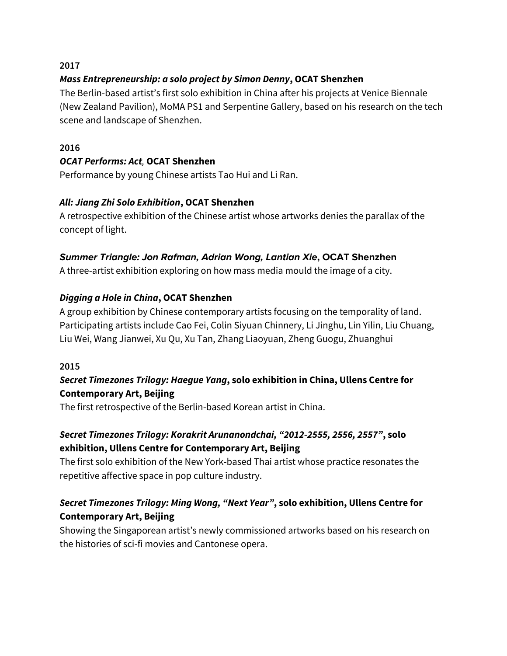#### **2017**

### *Mass Entrepreneurship: a solo project by Simon Denny***, OCAT Shenzhen**

The Berlin-based artist's first solo exhibition in China after his projects at Venice Biennale (New Zealand Pavilion), MoMA PS1 and Serpentine Gallery, based on his research on the tech scene and landscape of Shenzhen.

#### **2016**

### *OCAT Performs: Act,* **OCAT Shenzhen**

Performance by young Chinese artists Tao Hui and Li Ran.

### *All: Jiang Zhi Solo Exhibition***, OCAT Shenzhen**

A retrospective exhibition of the Chinese artist whose artworks denies the parallax of the concept of light.

# **Summer Triangle: Jon Rafman, Adrian Wong, Lantian Xie, OCAT Shenzhen**

A three-artist exhibition exploring on how mass media mould the image of a city.

# *Digging a Hole in China***, OCAT Shenzhen**

A group exhibition by Chinese contemporary artists focusing on the temporality of land. Participating artists include Cao Fei, Colin Siyuan Chinnery, Li Jinghu, Lin Yilin, Liu Chuang, Liu Wei, Wang Jianwei, Xu Qu, Xu Tan, Zhang Liaoyuan, Zheng Guogu, Zhuanghui

#### **2015**

# *Secret Timezones Trilogy: Haegue Yang***, solo exhibition in China, Ullens Centre for Contemporary Art, Beijing**

The first retrospective of the Berlin-based Korean artist in China.

# *Secret Timezones Trilogy: Korakrit Arunanondchai, "2012-2555, 2556, 2557"***, solo exhibition, Ullens Centre for Contemporary Art, Beijing**

The first solo exhibition of the New York-based Thai artist whose practice resonates the repetitive affective space in pop culture industry.

# *Secret Timezones Trilogy: Ming Wong, "Next Year"***, solo exhibition, Ullens Centre for Contemporary Art, Beijing**

Showing the Singaporean artist's newly commissioned artworks based on his research on the histories of sci-fi movies and Cantonese opera.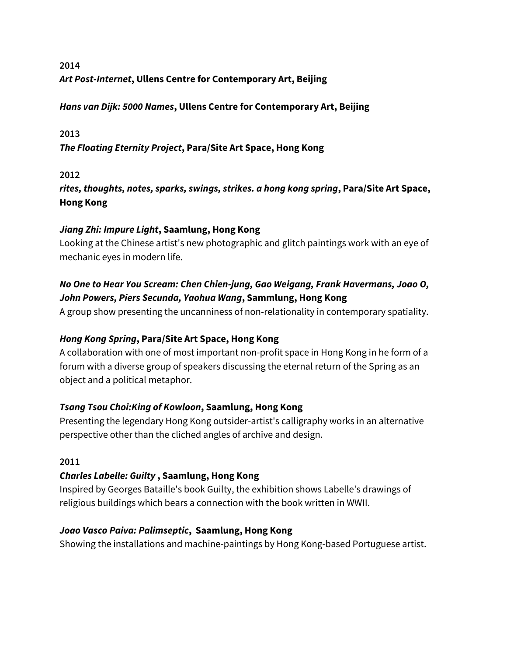# **2014** *Art Post-Internet***, Ullens Centre for Contemporary Art, Beijing**

# *Hans van Dijk: 5000 Names***, Ullens Centre for Contemporary Art, Beijing**

### **2013**

*The Floating Eternity Project***, Para/Site Art Space, Hong Kong**

### **2012**

*rites, thoughts, notes, sparks, swings, strikes. a hong kong spring***, Para/Site Art Space, Hong Kong**

### *Jiang Zhi: Impure Light***, Saamlung, Hong Kong**

Looking at the Chinese artist's new photographic and glitch paintings work with an eye of mechanic eyes in modern life.

# *No One to Hear You Scream: Chen Chien-jung, Gao Weigang, Frank Havermans, Joao O, John Powers, Piers Secunda, Yaohua Wang***, Sammlung, Hong Kong**

A group show presenting the uncanniness of non-relationality in contemporary spatiality.

# *Hong Kong Spring***, Para/Site Art Space, Hong Kong**

A collaboration with one of most important non-profit space in Hong Kong in he form of a forum with a diverse group of speakers discussing the eternal return of the Spring as an object and a political metaphor.

# *Tsang Tsou Choi:King of Kowloon***, Saamlung, Hong Kong**

Presenting the legendary Hong Kong outsider-artist's calligraphy works in an alternative perspective other than the cliched angles of archive and design.

### **2011**

# *Charles Labelle: Guilty* **, Saamlung, Hong Kong**

Inspired by Georges Bataille's book Guilty, the exhibition shows Labelle's drawings of religious buildings which bears a connection with the book written in WWII.

### *Joao Vasco Paiva: Palimseptic***, Saamlung, Hong Kong**

Showing the installations and machine-paintings by Hong Kong-based Portuguese artist.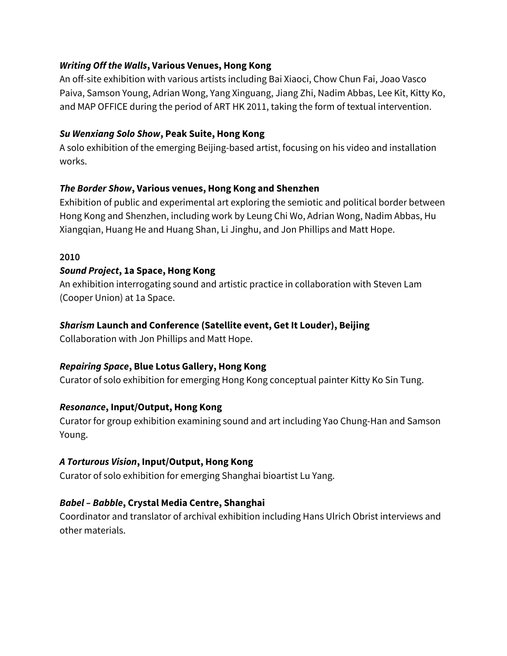#### *Writing Off the Walls***, Various Venues, Hong Kong**

An off-site exhibition with various artists including Bai Xiaoci, Chow Chun Fai, Joao Vasco Paiva, Samson Young, Adrian Wong, Yang Xinguang, Jiang Zhi, Nadim Abbas, Lee Kit, Kitty Ko, and MAP OFFICE during the period of ART HK 2011, taking the form of textual intervention.

#### *Su Wenxiang Solo Show***, Peak Suite, Hong Kong**

A solo exhibition of the emerging Beijing-based artist, focusing on his video and installation works.

### *The Border Show***, Various venues, Hong Kong and Shenzhen**

Exhibition of public and experimental art exploring the semiotic and political border between Hong Kong and Shenzhen, including work by Leung Chi Wo, Adrian Wong, Nadim Abbas, Hu Xiangqian, Huang He and Huang Shan, Li Jinghu, and Jon Phillips and Matt Hope.

#### **2010**

### *Sound Project***, 1a Space, Hong Kong**

An exhibition interrogating sound and artistic practice in collaboration with Steven Lam (Cooper Union) at 1a Space.

#### *Sharism* **Launch and Conference (Satellite event, Get It Louder), Beijing**

Collaboration with Jon Phillips and Matt Hope.

### *Repairing Space***, Blue Lotus Gallery, Hong Kong**

Curator of solo exhibition for emerging Hong Kong conceptual painter Kitty Ko Sin Tung.

### *Resonance***, Input/Output, Hong Kong**

Curator for group exhibition examining sound and art including Yao Chung-Han and Samson Young.

### *A Torturous Vision***, Input/Output, Hong Kong**

Curator of solo exhibition for emerging Shanghai bioartist Lu Yang.

### *Babel – Babble***, Crystal Media Centre, Shanghai**

Coordinator and translator of archival exhibition including Hans Ulrich Obrist interviews and other materials.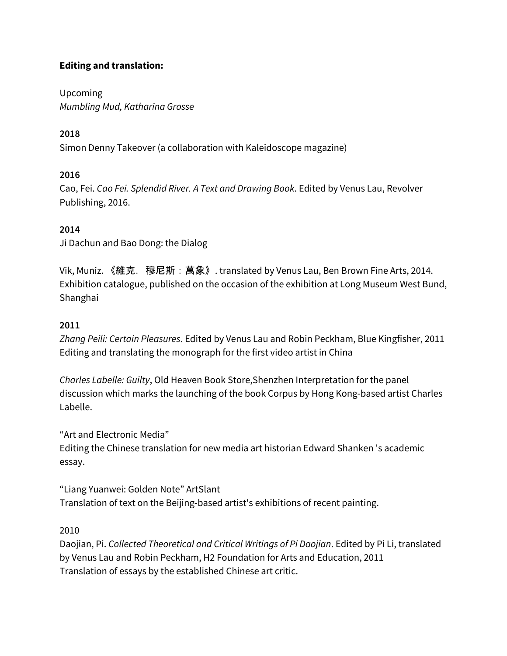### **Editing and translation:**

Upcoming *Mumbling Mud, Katharina Grosse*

# **2018**

Simon Denny Takeover (a collaboration with Kaleidoscope magazine)

# **2016**

Cao, Fei. *Cao Fei. Splendid River. A Text and Drawing Book*. Edited by Venus Lau, Revolver Publishing, 2016.

# **2014**

Ji Dachun and Bao Dong: the Dialog

Vik, Muniz. 《維克.穆尼斯:萬象》. translated by Venus Lau, Ben Brown Fine Arts, 2014. Exhibition catalogue, published on the occasion of the exhibition at Long Museum West Bund, Shanghai

# **2011**

*Zhang Peili: Certain Pleasures*. Edited by Venus Lau and Robin Peckham, Blue Kingfisher, 2011 Editing and translating the monograph for the first video artist in China

*Charles Labelle: Guilty*, Old Heaven Book Store,Shenzhen Interpretation for the panel discussion which marks the launching of the book Corpus by Hong Kong-based artist Charles Labelle.

"Art and Electronic Media"

Editing the Chinese translation for new media art historian Edward Shanken 's academic essay.

"Liang Yuanwei: Golden Note" ArtSlant Translation of text on the Beijing-based artist's exhibitions of recent painting.

2010

Daojian, Pi. *Collected Theoretical and Critical Writings of Pi Daojian*. Edited by Pi Li, translated by Venus Lau and Robin Peckham, H2 Foundation for Arts and Education, 2011 Translation of essays by the established Chinese art critic.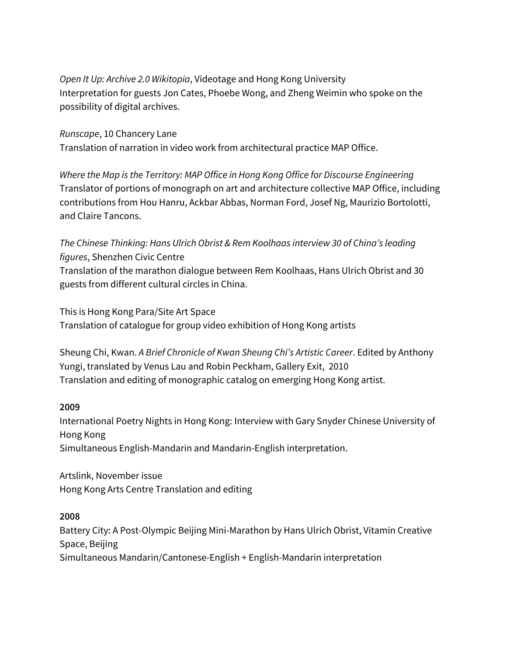*Open It Up: Archive 2.0 Wikitopia*, Videotage and Hong Kong University Interpretation for guests Jon Cates, Phoebe Wong, and Zheng Weimin who spoke on the possibility of digital archives.

*Runscape*, 10 Chancery Lane Translation of narration in video work from architectural practice MAP Office.

*Where the Map is the Territory: MAP Office in Hong Kong Office for Discourse Engineering* Translator of portions of monograph on art and architecture collective MAP Office, including contributions from Hou Hanru, Ackbar Abbas, Norman Ford, Josef Ng, Maurizio Bortolotti, and Claire Tancons.

*The Chinese Thinking: Hans Ulrich Obrist & Rem Koolhaas interview 30 of China's leading figures*, Shenzhen Civic Centre

Translation of the marathon dialogue between Rem Koolhaas, Hans Ulrich Obrist and 30 guests from different cultural circles in China.

This is Hong Kong Para/Site Art Space Translation of catalogue for group video exhibition of Hong Kong artists

Sheung Chi, Kwan. *A Brief Chronicle of Kwan Sheung Chi's Artistic Career*. Edited by Anthony Yungi, translated by Venus Lau and Robin Peckham, Gallery Exit, 2010 Translation and editing of monographic catalog on emerging Hong Kong artist.

**2009**

International Poetry Nights in Hong Kong: Interview with Gary Snyder Chinese University of Hong Kong

Simultaneous English-Mandarin and Mandarin-English interpretation.

Artslink, November issue Hong Kong Arts Centre Translation and editing

**2008**

Battery City: A Post-Olympic Beijing Mini-Marathon by Hans Ulrich Obrist, Vitamin Creative Space, Beijing Simultaneous Mandarin/Cantonese-English + English-Mandarin interpretation